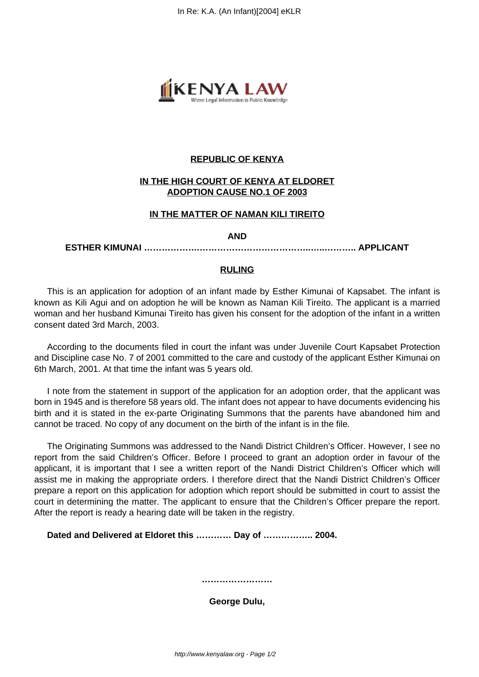

## **REPUBLIC OF KENYA**

# **IN THE HIGH COURT OF KENYA AT ELDORET ADOPTION CAUSE NO.1 OF 2003**

## **IN THE MATTER OF NAMAN KILI TIREITO**

#### **AND**

### **ESTHER KIMUNAI ……………….………………………………..…..……….. APPLICANT**

## **RULING**

This is an application for adoption of an infant made by Esther Kimunai of Kapsabet. The infant is known as Kili Agui and on adoption he will be known as Naman Kili Tireito. The applicant is a married woman and her husband Kimunai Tireito has given his consent for the adoption of the infant in a written consent dated 3rd March, 2003.

According to the documents filed in court the infant was under Juvenile Court Kapsabet Protection and Discipline case No. 7 of 2001 committed to the care and custody of the applicant Esther Kimunai on 6th March, 2001. At that time the infant was 5 years old.

I note from the statement in support of the application for an adoption order, that the applicant was born in 1945 and is therefore 58 years old. The infant does not appear to have documents evidencing his birth and it is stated in the ex-parte Originating Summons that the parents have abandoned him and cannot be traced. No copy of any document on the birth of the infant is in the file.

The Originating Summons was addressed to the Nandi District Children's Officer. However, I see no report from the said Children's Officer. Before I proceed to grant an adoption order in favour of the applicant, it is important that I see a written report of the Nandi District Children's Officer which will assist me in making the appropriate orders. I therefore direct that the Nandi District Children's Officer prepare a report on this application for adoption which report should be submitted in court to assist the court in determining the matter. The applicant to ensure that the Children's Officer prepare the report. After the report is ready a hearing date will be taken in the registry.

**Dated and Delivered at Eldoret this ………… Day of …………….. 2004.**

**……………………**

**George Dulu,**